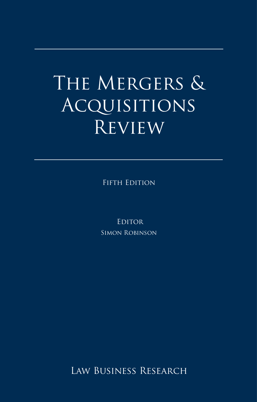## The Mergers & ACQUISITIONS **REVIEW**

Fifth Edition

**EDITOR** Simon Robinson

Law Business Research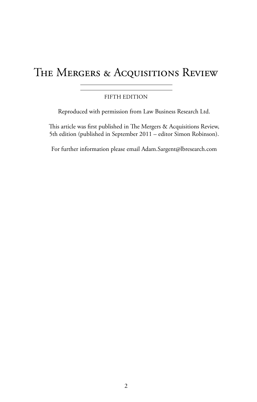## THE MERGERS & ACQUISITIONS REVIEW

#### fifth edition

Reproduced with permission from Law Business Research Ltd.

This article was first published in The Mergers & Acquisitions Review, 5th edition (published in September 2011 – editor Simon Robinson).

For further information please email Adam.Sargent@lbresearch.com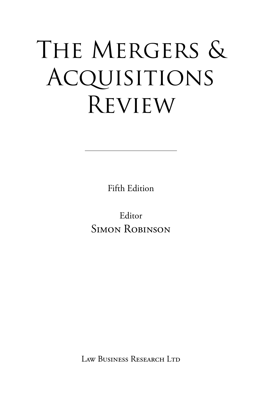# THE MERGERS & **ACQUISITIONS REVIEW**

Fifth Edition

Editor SIMON ROBINSON

Law Business Research Ltd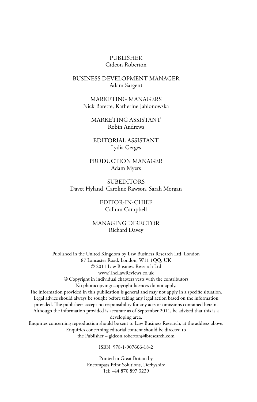#### Publisher Gideon Roberton

#### business development manager Adam Sargent

marketing Managers Nick Barette, Katherine Jablonowska

marketing assistant Robin Andrews

editorial assistant Lydia Gerges

production manager Adam Myers

**SUBEDITORS** Davet Hyland, Caroline Rawson, Sarah Morgan

> editor-in-chief Callum Campbell

managing director Richard Davey

Published in the United Kingdom by Law Business Research Ltd, London 87 Lancaster Road, London, W11 1QQ, UK © 2011 Law Business Research Ltd www.TheLawReviews.co.uk © Copyright in individual chapters vests with the contributors No photocopying: copyright licences do not apply. The information provided in this publication is general and may not apply in a specific situation. Legal advice should always be sought before taking any legal action based on the information provided. The publishers accept no responsibility for any acts or omissions contained herein. Although the information provided is accurate as of September 2011, be advised that this is a developing area. Enquiries concerning reproduction should be sent to Law Business Research, at the address above. Enquiries concerning editorial content should be directed to the Publisher – gideon.roberton@lbresearch.com

ISBN 978-1-907606-18-2

Printed in Great Britain by Encompass Print Solutions, Derbyshire Tel: +44 870 897 3239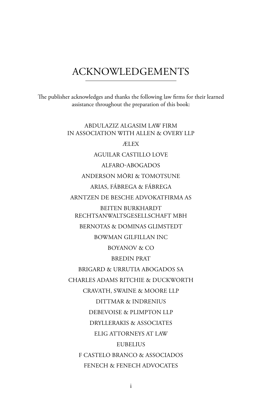### **ACKNOWLEDGEMENTS**

The publisher acknowledges and thanks the following law firms for their learned assistance throughout the preparation of this book:

> ABDULAZIZ ALGASIM LAW FIRM IN ASSOCIATION WITH ALLEN & OVERY LLP **ÆLEX AGUILAR CASTILLO LOVE** ALFARO-ABOGADOS ANDERSON MŌRI & TOMOTSUNE ARIAS, FÁBREGA & FÁBREGA ARNTZEN DE BESCHE ADVOKATFIRMA AS **BEITEN BURKHARDT** RECHTSANWALTSGESELLSCHAFT MBH BERNOTAS & DOMINAS GLIMSTEDT **BOWMAN GILFILLAN INC BOYANOV & CO BREDIN PRAT** BRIGARD & URRUTIA ABOGADOS SA CHARLES ADAMS RITCHIE & DUCKWORTH CRAVATH, SWAINE & MOORE LLP **DITTMAR & INDRENIUS** DEBEVOISE & PLIMPTON LLP DRYLLERAKIS & ASSOCIATES ELIG ATTORNEYS AT LAW **EUBELIUS** F CASTELO BRANCO & ASSOCIADOS FENECH & FENECH ADVOCATES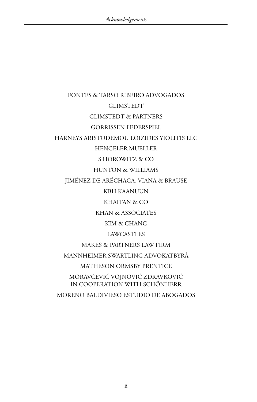FONTES & TARSO RIBEIRO ADVOGADOS **GLIMSTEDT** Glimstedt & partners Gorrissen Federspiel HARNEYS Aristodemou Loizides Yiolitis LLC Hengeler Mueller S Horowitz & Co Hunton & Williams Jiménez de Aréchaga, Viana & Brause KBH Kaanuun KHAITAN & CO Khan & Associates KIM & CHANG LAWCASTLES Makes & Partners Law Firm Mannheimer Swartling Advokatbyrå Matheson Ormsby Prentice MoravČEVIĆ VojnoviĆ ZdravkoviĆ in cooperation with Schönherr

Moreno Baldivieso Estudio de Abogados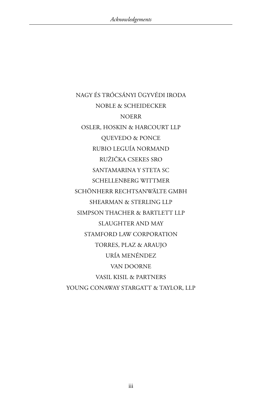Nagy és Trócsányi Ügyvédi Iroda NOBLE & SCHEIDECKER **NOERR** Osler, Hoskin & Harcourt LLP Quevedo & Ponce Rubio Leguía Normand RužiČka Csekes sro SANTAMARINA Y STETA SC Schellenberg Wittmer Schönherr Rechtsanwälte GmbH Shearman & Sterling LLP SIMPSON THACHER & BARTLETT LLP Slaughter and May STAMFORD LAW CORPORATION Torres, Plaz & Araujo URÍA MENÉNDEZ Van Doorne VASIL KISIL & PARTNERS YOUNG CONAWAY STARGATT & TAYLOR, LLP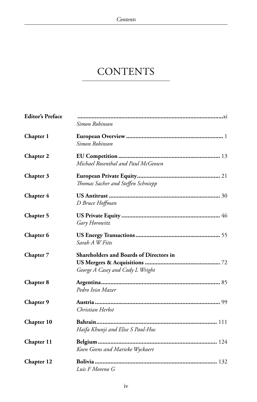## **CONTENTS**

| <b>Editor's Preface</b> | Simon Robinson                                                              |
|-------------------------|-----------------------------------------------------------------------------|
| Chapter 1               | Simon Robinson                                                              |
| Chapter 2               | Michael Rosenthal and Paul McGeown                                          |
| Chapter 3               | Thomas Sacher and Steffen Schniepp                                          |
| Chapter 4               | D Bruce Hoffman                                                             |
| Chapter 5               | Gary Horowitz                                                               |
| Chapter 6               | Sarah A W Fitts                                                             |
| Chapter 7               | Shareholders and Boards of Directors in<br>George A Casey and Cody L Wright |
| Chapter 8               | Pedro Iván Mazer                                                            |
| Chapter 9               | Christian Herbst                                                            |
| Chapter 10              | Haifa Khunji and Elise S Paul-Hus                                           |
| Chapter 11              | Koen Geens and Marieke Wyckaert                                             |
| Chapter 12              | Luis F Moreno G                                                             |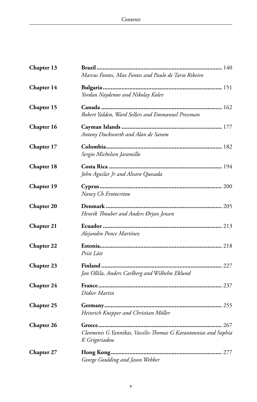| Chapter 13        |                                                                 |
|-------------------|-----------------------------------------------------------------|
|                   | Marcus Fontes, Max Fontes and Paulo de Tarso Ribeiro            |
| Chapter 14        |                                                                 |
|                   | Yordan Naydenov and Nikolay Kolev                               |
| Chapter 15        |                                                                 |
|                   | Robert Yalden, Ward Sellers and Emmanuel Pressman               |
| Chapter 16        |                                                                 |
|                   | Antony Duckworth and Alan de Saram                              |
| Chapter 17        |                                                                 |
|                   | Sergio Michelsen Jaramillo                                      |
| Chapter 18        |                                                                 |
|                   | John Aguilar Jr and Alvaro Quesada                              |
| <b>Chapter 19</b> |                                                                 |
|                   | Nancy Ch Erotocritou                                            |
| <b>Chapter 20</b> |                                                                 |
|                   | Henrik Thouber and Anders Ørjan Jensen                          |
| <b>Chapter 21</b> |                                                                 |
|                   | Alejandro Ponce Martínez                                        |
| <b>Chapter 22</b> |                                                                 |
|                   | Priit Lätt                                                      |
| Chapter 23        |                                                                 |
|                   | Jan Ollila, Anders Carlberg and Wilhelm Eklund                  |
| Chapter 24        |                                                                 |
|                   | Didier Martin                                                   |
| <b>Chapter 25</b> |                                                                 |
|                   | Heinrich Knepper and Christian Möller                           |
| <b>Chapter 26</b> |                                                                 |
|                   | Cleomenis G Yannikas, Vassilis-Thomas G Karantounias and Sophia |
|                   | K Grigoriadou                                                   |
| Chapter 27        |                                                                 |
|                   | George Goulding and Jason Webber                                |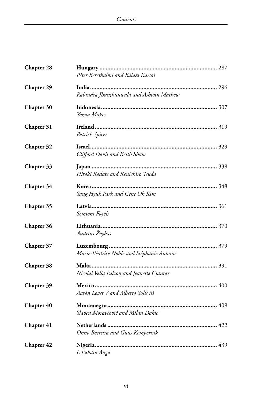| Chapter 28        |                                            |
|-------------------|--------------------------------------------|
|                   | Péter Berethalmi and Balázs Karsai         |
| <b>Chapter 29</b> |                                            |
|                   | Rabindra Jhunjhunwala and Ashwin Mathew    |
| Chapter 30        |                                            |
|                   | Yozua Makes                                |
| Chapter 31        |                                            |
|                   | Patrick Spicer                             |
| Chapter 32        |                                            |
|                   | Clifford Davis and Keith Shaw              |
| Chapter 33        |                                            |
|                   | Hiroki Kodate and Kenichiro Tsuda          |
| Chapter 34        |                                            |
|                   | Sang Hyuk Park and Gene Oh Kim             |
| Chapter 35        |                                            |
|                   | Semjons Fogels                             |
| <b>Chapter 36</b> |                                            |
|                   | Audrius Žvybas                             |
| Chapter 37        |                                            |
|                   | Marie-Béatrice Noble and Stéphanie Antoine |
| Chapter 38        |                                            |
|                   | Nicolai Vella Falzon and Jeanette Ciantar  |
| <b>Chapter 39</b> |                                            |
|                   | Aarón Levet V and Alberto Solís M          |
| Chapter 40        |                                            |
|                   | Slaven Moravčević and Milan Dakić          |
| Chapter 41        |                                            |
|                   | Onno Boerstra and Guus Kemperink           |
| Chapter 42        |                                            |
|                   | L Fubara Anga                              |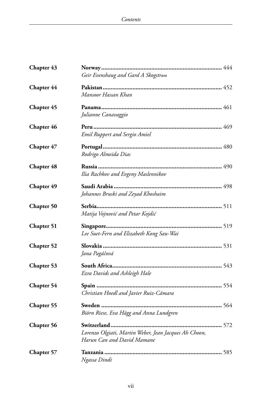| Chapter 43        |                                                                                          |
|-------------------|------------------------------------------------------------------------------------------|
|                   | Geir Evenshaug and Gard A Skogstrøm                                                      |
| Chapter 44        |                                                                                          |
|                   | Mansoor Hassan Khan                                                                      |
| <b>Chapter 45</b> |                                                                                          |
|                   | Julianne Canavaggio                                                                      |
| Chapter 46        |                                                                                          |
|                   | <b>Emil Ruppert and Sergio Amiel</b>                                                     |
| Chapter 47        |                                                                                          |
|                   | Rodrigo Almeida Dias                                                                     |
| <b>Chapter 48</b> |                                                                                          |
|                   | Ilia Rachkov and Evgeny Maslennikov                                                      |
| Chapter 49        |                                                                                          |
|                   | Johannes Bruski and Zeyad Khoshaim                                                       |
| <b>Chapter 50</b> |                                                                                          |
|                   | Matija Vojnović and Petar Kojdić                                                         |
| Chapter 51        |                                                                                          |
|                   | Lee Suet-Fern and Elizabeth Kong Sau-Wai                                                 |
| <b>Chapter 52</b> |                                                                                          |
|                   | Jana Pagáčová                                                                            |
| Chapter 53        |                                                                                          |
|                   | Ezra Davids and Ashleigh Hale                                                            |
| Chapter 54        |                                                                                          |
|                   | Christian Hoedl and Javier Ruiz-Cámara                                                   |
| <b>Chapter 55</b> |                                                                                          |
|                   | Biörn Riese, Eva Hägg and Anna Lundgren                                                  |
|                   |                                                                                          |
| Chapter 56        | <b></b> 572<br>Switzerland<br>.<br>Lorenzo Olgiati, Martin Weber, Jean Jacques Ah Choon, |
|                   | Harun Can and David Mamane                                                               |
| <b>Chapter 57</b> |                                                                                          |
|                   | Ngassa Dindi                                                                             |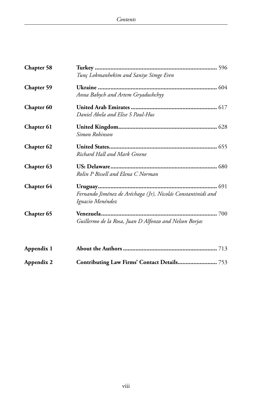| Chapter 58        |                                                              |
|-------------------|--------------------------------------------------------------|
|                   | Tunç Lokmanhekim and Saniye Simge Eren                       |
| Chapter 59        |                                                              |
|                   | Anna Babych and Artem Gryadushchyy                           |
| <b>Chapter 60</b> |                                                              |
|                   | Daniel Abela and Elise S Paul-Hus                            |
| Chapter 61        |                                                              |
|                   | Simon Robinson                                               |
| <b>Chapter 62</b> |                                                              |
|                   | Richard Hall and Mark Greene                                 |
| Chapter 63        |                                                              |
|                   | Rolin P Bissell and Elena C Norman                           |
| Chapter 64        |                                                              |
|                   | Fernando Jiménez de Aréchaga (Jr), Nicolás Constantinidi and |
|                   | Ignacio Menéndez                                             |
| Chapter 65        |                                                              |
|                   | Guillermo de la Rosa, Juan D Alfonzo and Nelson Borjas       |
| Appendix 1        |                                                              |
| Appendix 2        |                                                              |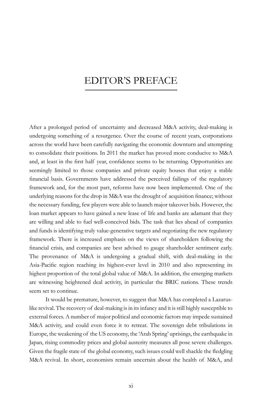## editor's preface

After a prolonged period of uncertainty and decreased M&A activity, deal-making is undergoing something of a resurgence. Over the course of recent years, corporations across the world have been carefully navigating the economic downturn and attempting to consolidate their positions. In 2011 the market has proved more conducive to M&A and, at least in the first half year, confidence seems to be returning. Opportunities are seemingly limited to those companies and private equity houses that enjoy a stable financial basis. Governments have addressed the perceived failings of the regulatory framework and, for the most part, reforms have now been implemented. One of the underlying reasons for the drop in M&A was the drought of acquisition finance; without the necessary funding, few players were able to launch major takeover bids. However, the loan market appears to have gained a new lease of life and banks are adamant that they are willing and able to fuel well-conceived bids. The task that lies ahead of companies and funds is identifying truly value-generative targets and negotiating the new regulatory framework. There is increased emphasis on the views of shareholders following the financial crisis, and companies are best advised to gauge shareholder sentiment early. The provenance of M&A is undergoing a gradual shift, with deal-making in the Asia-Pacific region reaching its highest-ever level in 2010 and also representing its highest proportion of the total global value of M&A. In addition, the emerging markets are witnessing heightened deal activity, in particular the BRIC nations. These trends seem set to continue.

It would be premature, however, to suggest that M&A has completed a Lazaruslike revival. The recovery of deal-making is in its infancy and it is still highly susceptible to external forces. A number of major political and economic factors may impede sustained M&A activity, and could even force it to retreat. The sovereign debt tribulations in Europe, the weakening of the US economy, the 'Arab Spring' uprisings, the earthquake in Japan, rising commodity prices and global austerity measures all pose severe challenges. Given the fragile state of the global economy, such issues could well shackle the fledgling M&A revival. In short, economists remain uncertain about the health of M&A, and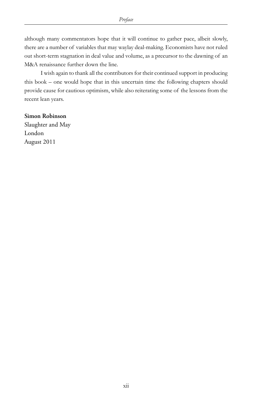although many commentators hope that it will continue to gather pace, albeit slowly, there are a number of variables that may waylay deal-making. Economists have not ruled out short-term stagnation in deal value and volume, as a precursor to the dawning of an M&A renaissance further down the line.

I wish again to thank all the contributors for their continued support in producing this book – one would hope that in this uncertain time the following chapters should provide cause for cautious optimism, while also reiterating some of the lessons from the recent lean years.

#### **Simon Robinson**

Slaughter and May London August 2011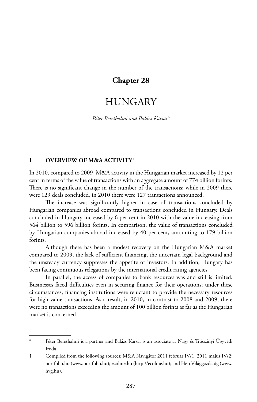#### **Chapter 28**

## **HUNGARY**

*Péter Berethalmi and Balázs Karsai\**

#### **I OVERVIEW OF M&A ACTIVITY1**

In 2010, compared to 2009, M&A activity in the Hungarian market increased by 12 per cent in terms of the value of transactions with an aggregate amount of 774 billion forints. There is no significant change in the number of the transactions: while in 2009 there were 129 deals concluded, in 2010 there were 127 transactions announced.

The increase was significantly higher in case of transactions concluded by Hungarian companies abroad compared to transactions concluded in Hungary. Deals concluded in Hungary increased by 6 per cent in 2010 with the value increasing from 564 billion to 596 billion forints. In comparison, the value of transactions concluded by Hungarian companies abroad increased by 40 per cent, amounting to 179 billion forints.

Although there has been a modest recovery on the Hungarian M&A market compared to 2009, the lack of sufficient financing, the uncertain legal background and the unsteady currency suppresses the appetite of investors. In addition, Hungary has been facing continuous relegations by the international credit rating agencies.

In parallel, the access of companies to bank resources was and still is limited. Businesses faced difficulties even in securing finance for their operations; under these circumstances, financing institutions were reluctant to provide the necessary resources for high-value transactions. As a result, in 2010, in contrast to 2008 and 2009, there were no transactions exceeding the amount of 100 billion forints as far as the Hungarian market is concerned.

Péter Berethalmi is a partner and Balázs Karsai is an associate at Nagy és Trócsányi Ügyvédi Iroda.

<sup>1</sup> Compiled from the following sources: M&A Navigátor 2011 február IV/1, 2011 május IV/2; portfolio.hu (www.portfolio.hu); ecoline.hu (http://ecoline.hu); and Heti Világgazdaság (www. hvg.hu).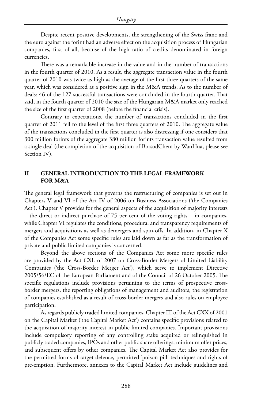Despite recent positive developments, the strengthening of the Swiss franc and the euro against the forint had an adverse effect on the acquisition process of Hungarian companies, first of all, because of the high ratio of credits denominated in foreign currencies.

There was a remarkable increase in the value and in the number of transactions in the fourth quarter of 2010. As a result, the aggregate transaction value in the fourth quarter of 2010 was twice as high as the average of the first three quarters of the same year, which was considered as a positive sign in the M&A trends. As to the number of deals: 46 of the 127 successful transactions were concluded in the fourth quarter. That said, in the fourth quarter of 2010 the size of the Hungarian M&A market only reached the size of the first quarter of 2008 (before the financial crisis).

Contrary to expectations, the number of transactions concluded in the first quarter of 2011 fell to the level of the first three quarters of 2010. The aggregate value of the transactions concluded in the first quarter is also distressing if one considers that 300 million forints of the aggregate 380 million forints transaction value resulted from a single deal (the completion of the acquisition of BorsodChem by WanHua, please see Section IV).

#### **II GENERAL INTRODUCTION TO THE LEGAL FRAMEWORK FOR M&A**

The general legal framework that governs the restructuring of companies is set out in Chapters V and VI of the Act IV of 2006 on Business Associations ('the Companies Act'). Chapter V provides for the general aspects of the acquisition of majority interests – the direct or indirect purchase of 75 per cent of the voting rights – in companies, while Chapter VI regulates the conditions, procedural and transparency requirements of mergers and acquisitions as well as demergers and spin-offs. In addition, in Chapter X of the Companies Act some specific rules are laid down as far as the transformation of private and public limited companies is concerned.

Beyond the above sections of the Companies Act some more specific rules are provided by the Act CXL of 2007 on Cross-Border Mergers of Limited Liability Companies ('the Cross-Border Merger Act'), which serve to implement Directive 2005/56/EC of the European Parliament and of the Council of 26 October 2005. The specific regulations include provisions pertaining to the terms of prospective crossborder mergers, the reporting obligations of management and auditors, the registration of companies established as a result of cross-border mergers and also rules on employee participation.

As regards publicly traded limited companies, Chapter III of the Act CXX of 2001 on the Capital Market ('the Capital Market Act') contains specific provisions related to the acquisition of majority interest in public limited companies. Important provisions include compulsory reporting of any controlling stake acquired or relinquished in publicly traded companies, IPOs and other public share offerings, minimum offer prices, and subsequent offers by other companies. The Capital Market Act also provides for the permitted forms of target defence, permitted 'poison pill' techniques and rights of pre-emption. Furthermore, annexes to the Capital Market Act include guidelines and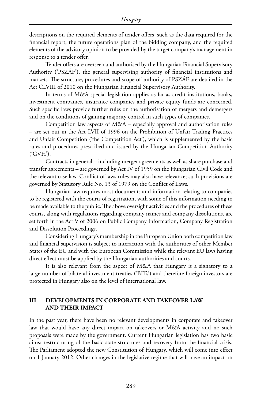descriptions on the required elements of tender offers, such as the data required for the financial report, the future operations plan of the bidding company, and the required elements of the advisory opinion to be provided by the target company's management in response to a tender offer.

Tender offers are overseen and authorised by the Hungarian Financial Supervisory Authority ('PSZÁF'), the general supervising authority of financial institutions and markets. The structure, procedures and scope of authority of PSZÁF are detailed in the Act CLVIII of 2010 on the Hungarian Financial Supervisory Authority.

In terms of M&A special legislation applies as far as credit institutions, banks, investment companies, insurance companies and private equity funds are concerned. Such specific laws provide further rules on the authorisation of mergers and demergers and on the conditions of gaining majority control in such types of companies.

Competition law aspects of M&A – especially approval and authorisation rules – are set out in the Act LVII of 1996 on the Prohibition of Unfair Trading Practices and Unfair Competition ('the Competition Act'), which is supplemented by the basic rules and procedures prescribed and issued by the Hungarian Competition Authority ('GVH').

Contracts in general – including merger agreements as well as share purchase and transfer agreements – are governed by Act IV of 1959 on the Hungarian Civil Code and the relevant case law. Conflict of laws rules may also have relevance; such provisions are governed by Statutory Rule No. 13 of 1979 on the Conflict of Laws.

Hungarian law requires most documents and information relating to companies to be registered with the courts of registration, with some of this information needing to be made available to the public. The above oversight activities and the procedures of these courts, along with regulations regarding company names and company dissolutions, are set forth in the Act V of 2006 on Public Company Information, Company Registration and Dissolution Proceedings.

Considering Hungary's membership in the European Union both competition law and financial supervision is subject to interaction with the authorities of other Member States of the EU and with the European Commission while the relevant EU laws having direct effect must be applied by the Hungarian authorities and courts.

It is also relevant from the aspect of M&A that Hungary is a signatory to a large number of bilateral investment treaties ('BITs') and therefore foreign investors are protected in Hungary also on the level of international law.

#### **III DEVELOPMENTS IN CORPORATE AND TAKEOVER LAW AND THEIR IMPACT**

In the past year, there have been no relevant developments in corporate and takeover law that would have any direct impact on takeovers or M&A activity and no such proposals were made by the government. Current Hungarian legislation has two basic aims: restructuring of the basic state structures and recovery from the financial crisis. The Parliament adopted the new Constitution of Hungary, which will come into effect on 1 January 2012. Other changes in the legislative regime that will have an impact on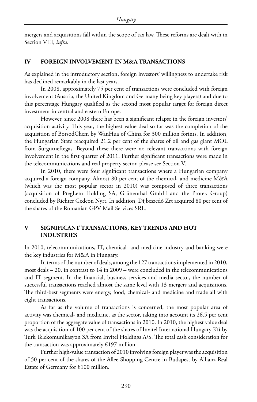mergers and acquisitions fall within the scope of tax law. These reforms are dealt with in Section VIII, *infra*.

#### **IV FOREIGN INVOLVEMENT IN M&A TRANSACTIONS**

As explained in the introductory section, foreign investors' willingness to undertake risk has declined remarkably in the last years.

In 2008, approximately 75 per cent of transactions were concluded with foreign involvement (Austria, the United Kingdom and Germany being key players) and due to this percentage Hungary qualified as the second most popular target for foreign direct investment in central and eastern Europe.

However, since 2008 there has been a significant relapse in the foreign investors' acquisition activity. This year, the highest value deal so far was the completion of the acquisition of BorsodChem by WanHua of China for 300 million forints. In addition, the Hungarian State reacquired 21.2 per cent of the shares of oil and gas giant MOL from Surgutneftegas. Beyond these there were no relevant transactions with foreign involvement in the first quarter of 2011. Further significant transactions were made in the telecommunications and real property sector, please see Section V.

In 2010, there were four significant transactions where a Hungarian company acquired a foreign company. Almost 80 per cent of the chemical- and medicine M&A (which was the most popular sector in 2010) was composed of three transactions (acquisition of PregLem Holding SA, Grünenthal GmbH and the Protek Group) concluded by Richter Gedeon Nyrt. In addition, Díjbeszedő Zrt acquired 80 per cent of the shares of the Romanian GPV Mail Services SRL.

#### **V SIGNIFICANT TRANSACTIONS, KEY TRENDS AND HOT INDUSTRIES**

In 2010, telecommunications, IT, chemical- and medicine industry and banking were the key industries for M&A in Hungary.

In terms of the number of deals, among the 127 transactions implemented in 2010, most deals  $-20$ , in contrast to  $14$  in  $2009$  – were concluded in the telecommunications and IT segment. In the financial, business services and media sector, the number of successful transactions reached almost the same level with 13 mergers and acquisitions. The third-best segments were energy, food, chemical- and medicine and trade all with eight transactions.

As far as the volume of transactions is concerned, the most popular area of activity was chemical- and medicine, as the sector, taking into account its 26.5 per cent proportion of the aggregate value of transactions in 2010. In 2010, the highest value deal was the acquisition of 100 per cent of the shares of Invitel International Hungary Kft by Turk Telekomunikasyon SA from Invitel Holdings A/S. The total cash consideration for the transaction was approximately  $£197$  million.

Further high-value transaction of 2010 involving foreign player was the acquisition of 50 per cent of the shares of the Allee Shopping Centre in Budapest by Allianz Real Estate of Germany for €100 million.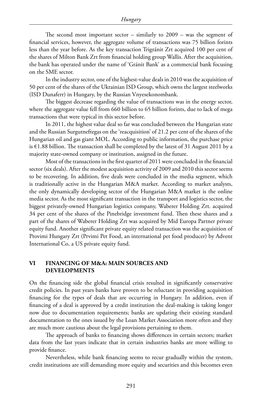The second most important sector – similarly to 2009 – was the segment of financial services, however, the aggregate volume of transactions was 75 billion forints less than the year before. As the key transaction Trigránit Zrt acquired 100 per cent of the shares of Milton Bank Zrt from financial holding group Wallis. After the acquisition, the bank has operated under the name of 'Gránit Bank' as a commercial bank focusing on the SME sector.

In the industry sector, one of the highest-value deals in 2010 was the acquisition of 50 per cent of the shares of the Ukrainian ISD Group, which owns the largest steelworks (ISD Dunaferr) in Hungary, by the Russian Vnyesekonombank.

The biggest decrease regarding the value of transactions was in the energy sector, where the aggregate value fell from 660 billion to 65 billion forints, due to lack of mega transactions that were typical in this sector before.

In 2011, the highest value deal so far was concluded between the Hungarian state and the Russian Surgutneftegas on the 'reacquisition' of 21.2 per cent of the shares of the Hungarian oil and gas giant MOL. According to public information, the purchase price is  $\epsilon$ 1.88 billion. The transaction shall be completed by the latest of 31 August 2011 by a majority state-owned company or institution, assigned in the future.

Most of the transactions in the first quarter of 2011 were concluded in the financial sector (six deals). After the modest acquisition activity of 2009 and 2010 this sector seems to be recovering. In addition, five deals were concluded in the media segment, which is traditionally active in the Hungarian M&A market. According to market analysts, the only dynamically developing sector of the Hungarian M&A market is the online media sector. As the most significant transaction in the transport and logistics sector, the biggest privately-owned Hungarian logistics company, Waberer Holding Zrt. acquired 34 per cent of the shares of the Pinebridge investment fund. Then these shares and a part of the shares of Waberer Holding Zrt was acquired by Mid Europa Partner private equity fund. Another significant private equity related transaction was the acquisition of Provimi Hungary Zrt (Prvimi Pet Food, an international pet food producer) by Advent International Co, a US private equity fund.

#### **VI FINANCING OF M&A: MAIN SOURCES AND DEVELOPMENTS**

On the financing side the global financial crisis resulted in significantly conservative credit policies. In past years banks have proven to be reluctant in providing acquisition financing for the types of deals that are occurring in Hungary. In addition, even if financing of a deal is approved by a credit institution the deal-making is taking longer now due to documentation requirements; banks are updating their existing standard documentation to the ones issued by the Loan Market Association more often and they are much more cautious about the legal provisions pertaining to them.

The approach of banks to financing shows differences in certain sectors; market data from the last years indicate that in certain industries banks are more willing to provide finance.

Nevertheless, while bank financing seems to recur gradually within the system, credit institutions are still demanding more equity and securities and this becomes even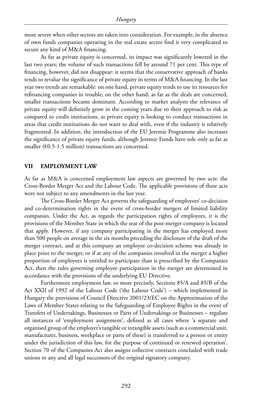more severe when other sectors are taken into consideration. For example, in the absence of own funds companies operating in the real estate sector find it very complicated to secure any kind of M&A financing.

As far as private equity is concerned, its impact was significantly lowered in the last two years; the volume of such transactions fell by around 71 per cent. This type of financing, however, did not disappear: it seems that the conservative approach of banks tends to revalue the significance of private equity in terms of M&A financing. In the last year two trends are remarkable: on one hand, private equity tends to use its resources for refinancing companies in trouble; on the other hand, as far as the deals are concerned, smaller transactions became dominant. According to market analysts the relevance of private equity will definitely grow in the coming years due to their approach to risk as compared to credit institutions, as private equity is looking to conduct transactions in areas that credit institutions do not want to deal with, even if the industry is relatively fragmented. In addition, the introduction of the EU Jeremie Programme also increases the significance of private equity funds, although Jeremie Funds have role only as far as smaller ( $\epsilon$ 0.5-1.5 million) transactions are concerned.

#### **VII EMPLOYMENT LAW**

As far as M&A is concerned employment law aspects are governed by two acts: the Cross-Border Merger Act and the Labour Code. The applicable provisions of these acts were not subject to any amendments in the last year.

The Cross-Border Merger Act governs the safeguarding of employees' co-decision and co-determination rights in the event of cross-border mergers of limited liability companies. Under the Act, as regards the participation rights of employees, it is the provisions of the Member State in which the seat of the post-merger company is located that apply. However, if any company participating in the merger has employed more than 500 people on average in the six months preceding the disclosure of the draft of the merger contract, and at this company an employee co-decision scheme was already in place prior to the merger, or if at any of the companies involved in the merger a higher proportion of employees is entitled to participate than is prescribed by the Companies Act, then the rules governing employee participation in the merger are determined in accordance with the provisions of the underlying EU Directive.

Furthermore employment law, or more precisely, Sections 85/A and 85/B of the Act XXII of 1992 of the Labour Code ('the Labour Code') – which implemented in Hungary the provisions of Council Directive 2001/23/EC on the Approximation of the Laws of Member States relating to the Safeguarding of Employee Rights in the event of Transfers of Undertakings, Businesses or Parts of Undertakings or Businesses – regulate all instances of 'employment assignment', defined as all cases where 'a separate and organised group of the employer's tangible or intangible assets (such as a commercial unit, manufacturer, business, workplace or parts of these) is transferred to a person or entity under the jurisdiction of this law, for the purpose of continued or renewed operation'. Section 70 of the Companies Act also assigns collective contracts concluded with trade unions to any and all legal successors of the original signatory company.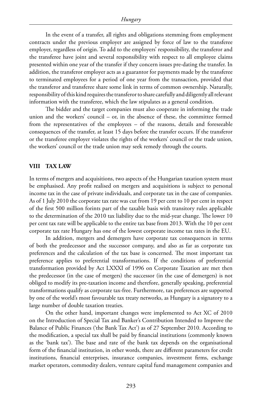In the event of a transfer, all rights and obligations stemming from employment contracts under the previous employer are assigned by force of law to the transferee employer, regardless of origin. To add to the employers' responsibility, the transferor and the transferee have joint and several responsibility with respect to all employee claims presented within one year of the transfer if they concern issues pre-dating the transfer. In addition, the transferor employer acts as a guarantor for payments made by the transferee to terminated employees for a period of one year from the transaction, provided that the transferor and transferee share some link in terms of common ownership. Naturally, responsibility of this kind requires the transferor to share carefully and diligently all relevant information with the transferee, which the law stipulates as a general condition.

The bidder and the target companies must also cooperate in informing the trade union and the workers' council  $-$  or, in the absence of these, the committee formed from the representatives of the employees – of the reasons, details and foreseeable consequences of the transfer, at least 15 days before the transfer occurs. If the transferor or the transferee employer violates the rights of the workers' council or the trade union, the workers' council or the trade union may seek remedy through the courts.

#### **VIII TAX LAW**

In terms of mergers and acquisitions, two aspects of the Hungarian taxation system must be emphasised. Any profit realised on mergers and acquisitions is subject to personal income tax in the case of private individuals, and corporate tax in the case of companies. As of 1 July 2010 the corporate tax rate was cut from 19 per cent to 10 per cent in respect of the first 500 million forints part of the taxable basis with transitory rules applicable to the determination of the 2010 tax liability due to the mid-year change. The lower 10 per cent tax rate will be applicable to the entire tax base from 2013. With the 10 per cent corporate tax rate Hungary has one of the lowest corporate income tax rates in the EU.

In addition, mergers and demergers have corporate tax consequences in terms of both the predecessor and the successor company, and also as far as corporate tax preferences and the calculation of the tax base is concerned. The most important tax preference applies to preferential transformations. If the conditions of preferential transformation provided by Act LXXXI of 1996 on Corporate Taxation are met then the predecessor (in the case of mergers) the successor (in the case of demergers) is not obliged to modify its pre-taxation income and therefore, generally speaking, preferential transformations qualify as corporate tax-free. Furthermore, tax preferences are supported by one of the world's most favourable tax treaty networks, as Hungary is a signatory to a large number of double taxation treaties.

On the other hand, important changes were implemented to Act XC of 2010 on the Introduction of Special Tax and Banker's Contribution Intended to Improve the Balance of Public Finances ('the Bank Tax Act') as of 27 September 2010. According to the modification, a special tax shall be paid by financial institutions (commonly known as the 'bank tax'). The base and rate of the bank tax depends on the organisational form of the financial institution, in other words, there are different parameters for credit institutions, financial enterprises, insurance companies, investment firms, exchange market operators, commodity dealers, venture capital fund management companies and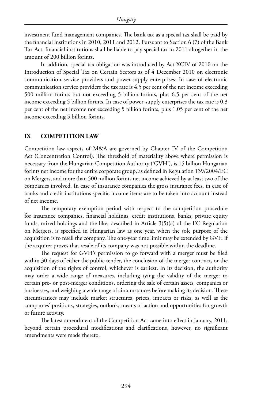investment fund management companies. The bank tax as a special tax shall be paid by the financial institutions in 2010, 2011 and 2012. Pursuant to Section 6 (7) of the Bank Tax Act, financial institutions shall be liable to pay special tax in 2011 altogether in the amount of 200 billion forints.

In addition, special tax obligation was introduced by Act XCIV of 2010 on the Introduction of Special Tax on Certain Sectors as of 4 December 2010 on electronic communication service providers and power-supply enterprises. In case of electronic communication service providers the tax rate is 4.5 per cent of the net income exceeding 500 million forints but not exceeding 5 billion forints, plus 6.5 per cent of the net income exceeding 5 billion forints. In case of power-supply enterprises the tax rate is 0.3 per cent of the net income not exceeding 5 billion forints, plus 1.05 per cent of the net income exceeding 5 billion forints.

#### **IX COMPETITION LAW**

Competition law aspects of M&A are governed by Chapter IV of the Competition Act (Concentration Control). The threshold of materiality above where permission is necessary from the Hungarian Competition Authority ('GVH'), is 15 billion Hungarian forints net income for the entire corporate group, as defined in Regulation 139/2004/EC on Mergers, and more than 500 million forints net income achieved by at least two of the companies involved. In case of insurance companies the gross insurance fees, in case of banks and credit institutions specific income items are to be taken into account instead of net income.

The temporary exemption period with respect to the competition procedure for insurance companies, financial holdings, credit institutions, banks, private equity funds, mixed holdings and the like, described in Article 3(5)(a) of the EC Regulation on Mergers, is specified in Hungarian law as one year, when the sole purpose of the acquisition is to resell the company. The one-year time limit may be extended by GVH if the acquirer proves that resale of its company was not possible within the deadline.

The request for GVH's permission to go forward with a merger must be filed within 30 days of either the public tender, the conclusion of the merger contract, or the acquisition of the rights of control, whichever is earliest. In its decision, the authority may order a wide range of measures, including tying the validity of the merger to certain pre- or post-merger conditions, ordering the sale of certain assets, companies or businesses, and weighing a wide range of circumstances before making its decision. These circumstances may include market structures, prices, impacts or risks, as well as the companies' positions, strategies, outlook, means of action and opportunities for growth or future activity.

The latest amendment of the Competition Act came into effect in January, 2011; beyond certain procedural modifications and clarifications, however, no significant amendments were made thereto.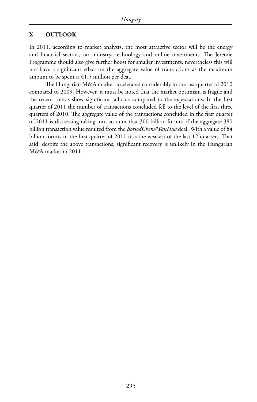#### **X OUTLOOK**

In 2011, according to market analysts, the most attractive sector will be the energy and financial sectors, car industry, technology and online investments. The Jeremie Programme should also give further boost for smaller investments, nevertheless this will not have a significant effect on the aggregate value of transactions as the maximum amount to be spent is €1.5 million per deal.

The Hungarian M&A market accelerated considerably in the last quarter of 2010 compared to 2009. However, it must be noted that the market optimism is fragile and the recent trends show significant fallback compared to the expectations. In the first quarter of 2011 the number of transactions concluded fell to the level of the first three quarters of 2010. The aggregate value of the transactions concluded in the first quarter of 2011 is distressing taking into account that 300 billion forints of the aggregate 380 billion transaction value resulted from the *BorsodChem/WanHua* deal. With a value of 84 billion forints in the first quarter of 2011 it is the weakest of the last 12 quarters. That said, despite the above transactions, significant recovery is unlikely in the Hungarian M&A market in 2011.